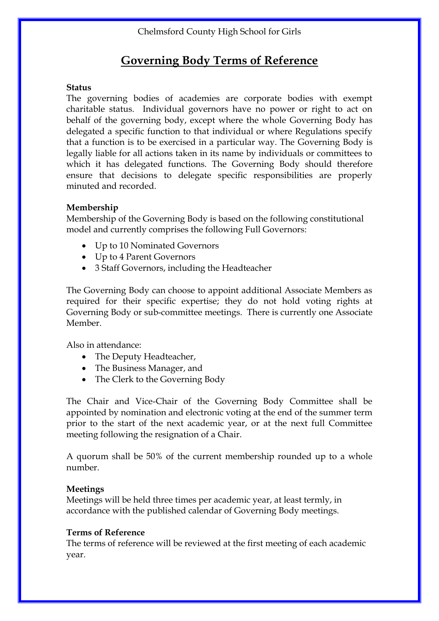## **Governing Body Terms of Reference**

#### **Status**

The governing bodies of academies are corporate bodies with exempt charitable status. Individual governors have no power or right to act on behalf of the governing body, except where the whole Governing Body has delegated a specific function to that individual or where Regulations specify that a function is to be exercised in a particular way. The Governing Body is legally liable for all actions taken in its name by individuals or committees to which it has delegated functions. The Governing Body should therefore ensure that decisions to delegate specific responsibilities are properly minuted and recorded.

### **Membership**

Membership of the Governing Body is based on the following constitutional model and currently comprises the following Full Governors:

- Up to 10 Nominated Governors
- Up to 4 Parent Governors
- 3 Staff Governors, including the Headteacher

The Governing Body can choose to appoint additional Associate Members as required for their specific expertise; they do not hold voting rights at Governing Body or sub-committee meetings. There is currently one Associate Member.

Also in attendance:

- The Deputy Headteacher,
- The Business Manager, and
- The Clerk to the Governing Body

The Chair and Vice-Chair of the Governing Body Committee shall be appointed by nomination and electronic voting at the end of the summer term prior to the start of the next academic year, or at the next full Committee meeting following the resignation of a Chair.

A quorum shall be 50% of the current membership rounded up to a whole number.

### **Meetings**

Meetings will be held three times per academic year, at least termly, in accordance with the published calendar of Governing Body meetings.

### **Terms of Reference**

The terms of reference will be reviewed at the first meeting of each academic year.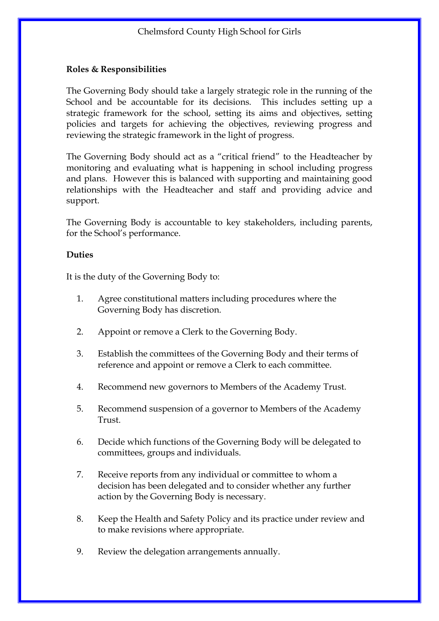## **Roles & Responsibilities**

The Governing Body should take a largely strategic role in the running of the School and be accountable for its decisions. This includes setting up a strategic framework for the school, setting its aims and objectives, setting policies and targets for achieving the objectives, reviewing progress and reviewing the strategic framework in the light of progress.

The Governing Body should act as a "critical friend" to the Headteacher by monitoring and evaluating what is happening in school including progress and plans. However this is balanced with supporting and maintaining good relationships with the Headteacher and staff and providing advice and support.

The Governing Body is accountable to key stakeholders, including parents, for the School's performance.

### **Duties**

It is the duty of the Governing Body to:

- 1. Agree constitutional matters including procedures where the Governing Body has discretion.
- 2. Appoint or remove a Clerk to the Governing Body.
- 3. Establish the committees of the Governing Body and their terms of reference and appoint or remove a Clerk to each committee.
- 4. Recommend new governors to Members of the Academy Trust.
- 5. Recommend suspension of a governor to Members of the Academy Trust.
- 6. Decide which functions of the Governing Body will be delegated to committees, groups and individuals.
- 7. Receive reports from any individual or committee to whom a decision has been delegated and to consider whether any further action by the Governing Body is necessary.
- 8. Keep the Health and Safety Policy and its practice under review and to make revisions where appropriate.
- 9. Review the delegation arrangements annually.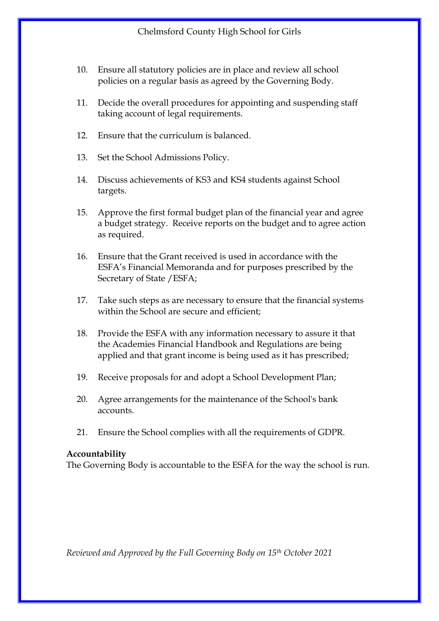- 10. Ensure all statutory policies are in place and review all school policies on a regular basis as agreed by the Governing Body.
- 11. Decide the overall procedures for appointing and suspending staff taking account of legal requirements.
- 12. Ensure that the curriculum is balanced.
- 13. Set the School Admissions Policy.
- 14. Discuss achievements of KS3 and KS4 students against School targets.
- 15. Approve the first formal budget plan of the financial year and agree a budget strategy. Receive reports on the budget and to agree action as required.
- 16. Ensure that the Grant received is used in accordance with the ESFA's Financial Memoranda and for purposes prescribed by the Secretary of State /ESFA;
- 17. Take such steps as are necessary to ensure that the financial systems within the School are secure and efficient:
- 18. Provide the ESFA with any information necessary to assure it that the Academies Financial Handbook and Regulations are being applied and that grant income is being used as it has prescribed;
- 19. Receive proposals for and adopt a School Development Plan;
- 20. Agree arrangements for the maintenance of the School's bank accounts.
- 21. Ensure the School complies with all the requirements of GDPR.

The Governing Body is accountable to the ESFA for the way the school is run.

*Reviewed and Approved by the Full Governing Body on 15th October 2021*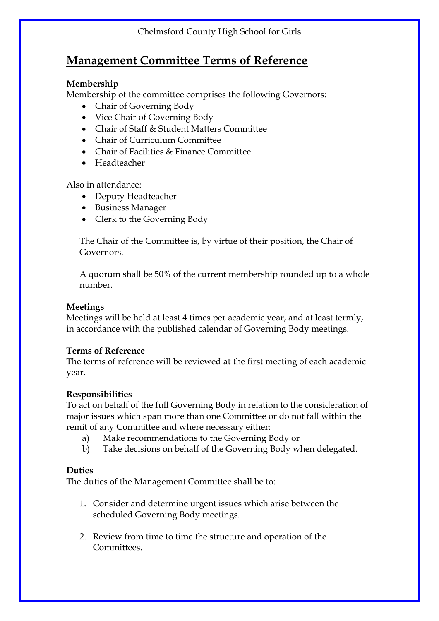## **Management Committee Terms of Reference**

## **Membership**

Membership of the committee comprises the following Governors:

- Chair of Governing Body
- Vice Chair of Governing Body
- Chair of Staff & Student Matters Committee
- Chair of Curriculum Committee
- Chair of Facilities & Finance Committee
- Headteacher

Also in attendance:

- Deputy Headteacher
- Business Manager
- Clerk to the Governing Body

The Chair of the Committee is, by virtue of their position, the Chair of Governors.

A quorum shall be 50% of the current membership rounded up to a whole number.

## **Meetings**

Meetings will be held at least 4 times per academic year, and at least termly, in accordance with the published calendar of Governing Body meetings.

### **Terms of Reference**

The terms of reference will be reviewed at the first meeting of each academic year.

### **Responsibilities**

To act on behalf of the full Governing Body in relation to the consideration of major issues which span more than one Committee or do not fall within the remit of any Committee and where necessary either:

- a) Make recommendations to the Governing Body or
- b) Take decisions on behalf of the Governing Body when delegated.

### **Duties**

The duties of the Management Committee shall be to:

- 1. Consider and determine urgent issues which arise between the scheduled Governing Body meetings.
- 2. Review from time to time the structure and operation of the **Committees**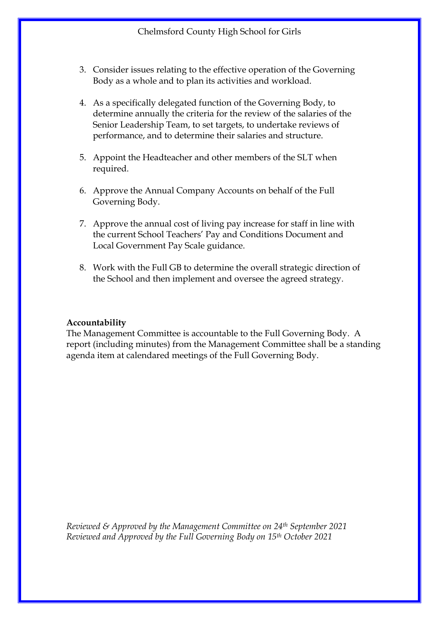- 3. Consider issues relating to the effective operation of the Governing Body as a whole and to plan its activities and workload.
- 4. As a specifically delegated function of the Governing Body, to determine annually the criteria for the review of the salaries of the Senior Leadership Team, to set targets, to undertake reviews of performance, and to determine their salaries and structure.
- 5. Appoint the Headteacher and other members of the SLT when required.
- 6. Approve the Annual Company Accounts on behalf of the Full Governing Body.
- 7. Approve the annual cost of living pay increase for staff in line with the current School Teachers' Pay and Conditions Document and Local Government Pay Scale guidance.
- 8. Work with the Full GB to determine the overall strategic direction of the School and then implement and oversee the agreed strategy.

The Management Committee is accountable to the Full Governing Body. A report (including minutes) from the Management Committee shall be a standing agenda item at calendared meetings of the Full Governing Body.

*Reviewed & Approved by the Management Committee on 24th September 2021 Reviewed and Approved by the Full Governing Body on 15th October 2021*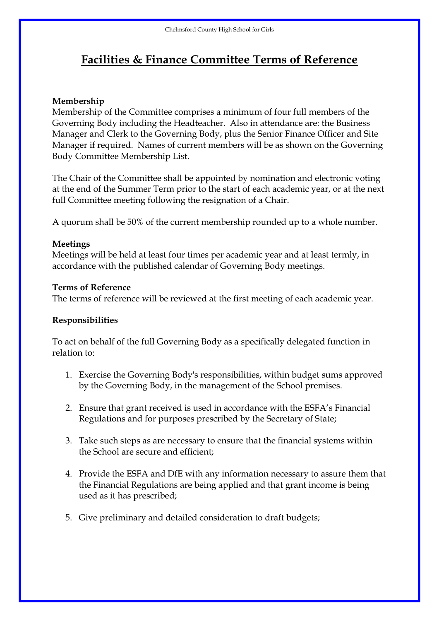## **Facilities & Finance Committee Terms of Reference**

## **Membership**

Membership of the Committee comprises a minimum of four full members of the Governing Body including the Headteacher. Also in attendance are: the Business Manager and Clerk to the Governing Body, plus the Senior Finance Officer and Site Manager if required. Names of current members will be as shown on the Governing Body Committee Membership List.

The Chair of the Committee shall be appointed by nomination and electronic voting at the end of the Summer Term prior to the start of each academic year, or at the next full Committee meeting following the resignation of a Chair.

A quorum shall be 50% of the current membership rounded up to a whole number.

### **Meetings**

Meetings will be held at least four times per academic year and at least termly, in accordance with the published calendar of Governing Body meetings.

### **Terms of Reference**

The terms of reference will be reviewed at the first meeting of each academic year.

## **Responsibilities**

To act on behalf of the full Governing Body as a specifically delegated function in relation to:

- 1. Exercise the Governing Body's responsibilities, within budget sums approved by the Governing Body, in the management of the School premises.
- 2. Ensure that grant received is used in accordance with the ESFA's Financial Regulations and for purposes prescribed by the Secretary of State;
- 3. Take such steps as are necessary to ensure that the financial systems within the School are secure and efficient;
- 4. Provide the ESFA and DfE with any information necessary to assure them that the Financial Regulations are being applied and that grant income is being used as it has prescribed;
- 5. Give preliminary and detailed consideration to draft budgets;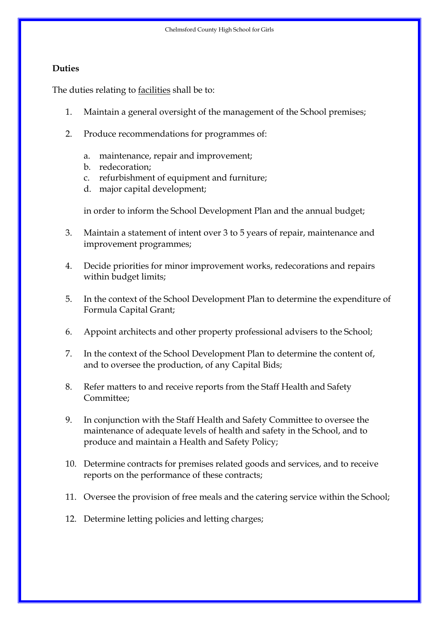#### **Duties**

The duties relating to <u>facilities</u> shall be to:

- 1. Maintain a general oversight of the management of the School premises;
- 2. Produce recommendations for programmes of:
	- a. maintenance, repair and improvement;
	- b. redecoration;
	- c. refurbishment of equipment and furniture;
	- d. major capital development;

in order to inform the School Development Plan and the annual budget;

- 3. Maintain a statement of intent over 3 to 5 years of repair, maintenance and improvement programmes;
- 4. Decide priorities for minor improvement works, redecorations and repairs within budget limits;
- 5. In the context of the School Development Plan to determine the expenditure of Formula Capital Grant;
- 6. Appoint architects and other property professional advisers to the School;
- 7. In the context of the School Development Plan to determine the content of, and to oversee the production, of any Capital Bids;
- 8. Refer matters to and receive reports from the Staff Health and Safety Committee;
- 9. In conjunction with the Staff Health and Safety Committee to oversee the maintenance of adequate levels of health and safety in the School, and to produce and maintain a Health and Safety Policy;
- 10. Determine contracts for premises related goods and services, and to receive reports on the performance of these contracts;
- 11. Oversee the provision of free meals and the catering service within the School;
- 12. Determine letting policies and letting charges;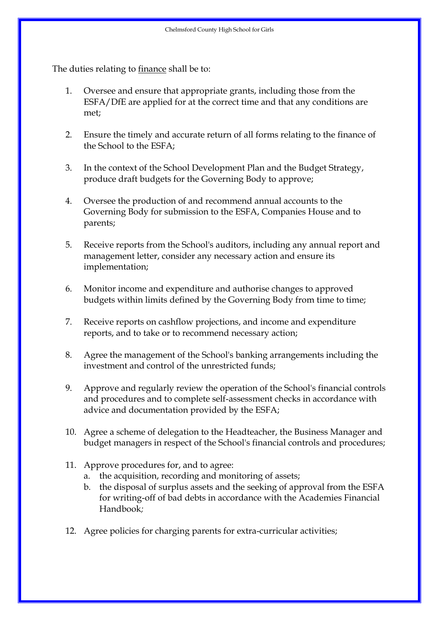The duties relating to finance shall be to:

- 1. Oversee and ensure that appropriate grants, including those from the ESFA/DfE are applied for at the correct time and that any conditions are met;
- 2. Ensure the timely and accurate return of all forms relating to the finance of the School to the ESFA;
- 3. In the context of the School Development Plan and the Budget Strategy, produce draft budgets for the Governing Body to approve;
- 4. Oversee the production of and recommend annual accounts to the Governing Body for submission to the ESFA, Companies House and to parents;
- 5. Receive reports from the School's auditors, including any annual report and management letter, consider any necessary action and ensure its implementation;
- 6. Monitor income and expenditure and authorise changes to approved budgets within limits defined by the Governing Body from time to time;
- 7. Receive reports on cashflow projections, and income and expenditure reports, and to take or to recommend necessary action;
- 8. Agree the management of the School's banking arrangements including the investment and control of the unrestricted funds;
- 9. Approve and regularly review the operation of the School's financial controls and procedures and to complete self-assessment checks in accordance with advice and documentation provided by the ESFA;
- 10. Agree a scheme of delegation to the Headteacher, the Business Manager and budget managers in respect of the School's financial controls and procedures;
- 11. Approve procedures for, and to agree:
	- a. the acquisition, recording and monitoring of assets;
	- b. the disposal of surplus assets and the seeking of approval from the ESFA for writing-off of bad debts in accordance with the Academies Financial Handbook*;*
- 12. Agree policies for charging parents for extra-curricular activities;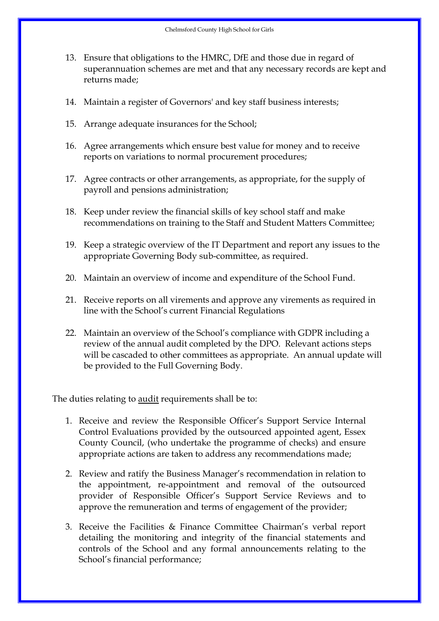- 13. Ensure that obligations to the HMRC, DfE and those due in regard of superannuation schemes are met and that any necessary records are kept and returns made;
- 14. Maintain a register of Governors' and key staff business interests;
- 15. Arrange adequate insurances for the School;
- 16. Agree arrangements which ensure best value for money and to receive reports on variations to normal procurement procedures;
- 17. Agree contracts or other arrangements, as appropriate, for the supply of payroll and pensions administration;
- 18. Keep under review the financial skills of key school staff and make recommendations on training to the Staff and Student Matters Committee;
- 19. Keep a strategic overview of the IT Department and report any issues to the appropriate Governing Body sub-committee, as required.
- 20. Maintain an overview of income and expenditure of the School Fund.
- 21. Receive reports on all virements and approve any virements as required in line with the School's current Financial Regulations
- 22. Maintain an overview of the School's compliance with GDPR including a review of the annual audit completed by the DPO. Relevant actions steps will be cascaded to other committees as appropriate. An annual update will be provided to the Full Governing Body.

The duties relating to audit requirements shall be to:

- 1. Receive and review the Responsible Officer's Support Service Internal Control Evaluations provided by the outsourced appointed agent, Essex County Council, (who undertake the programme of checks) and ensure appropriate actions are taken to address any recommendations made;
- 2. Review and ratify the Business Manager's recommendation in relation to the appointment, re-appointment and removal of the outsourced provider of Responsible Officer's Support Service Reviews and to approve the remuneration and terms of engagement of the provider;
- 3. Receive the Facilities & Finance Committee Chairman's verbal report detailing the monitoring and integrity of the financial statements and controls of the School and any formal announcements relating to the School's financial performance;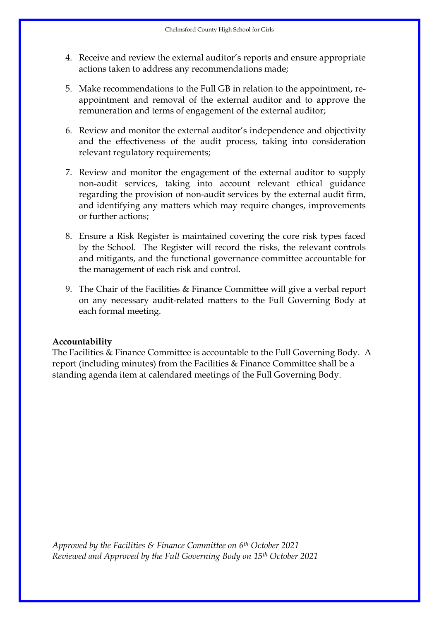- 4. Receive and review the external auditor's reports and ensure appropriate actions taken to address any recommendations made;
- 5. Make recommendations to the Full GB in relation to the appointment, reappointment and removal of the external auditor and to approve the remuneration and terms of engagement of the external auditor;
- 6. Review and monitor the external auditor's independence and objectivity and the effectiveness of the audit process, taking into consideration relevant regulatory requirements;
- 7. Review and monitor the engagement of the external auditor to supply non-audit services, taking into account relevant ethical guidance regarding the provision of non-audit services by the external audit firm, and identifying any matters which may require changes, improvements or further actions;
- 8. Ensure a Risk Register is maintained covering the core risk types faced by the School. The Register will record the risks, the relevant controls and mitigants, and the functional governance committee accountable for the management of each risk and control.
- 9. The Chair of the Facilities & Finance Committee will give a verbal report on any necessary audit-related matters to the Full Governing Body at each formal meeting.

The Facilities & Finance Committee is accountable to the Full Governing Body. A report (including minutes) from the Facilities & Finance Committee shall be a standing agenda item at calendared meetings of the Full Governing Body.

*Approved by the Facilities & Finance Committee on 6th October 2021 Reviewed and Approved by the Full Governing Body on 15th October 2021*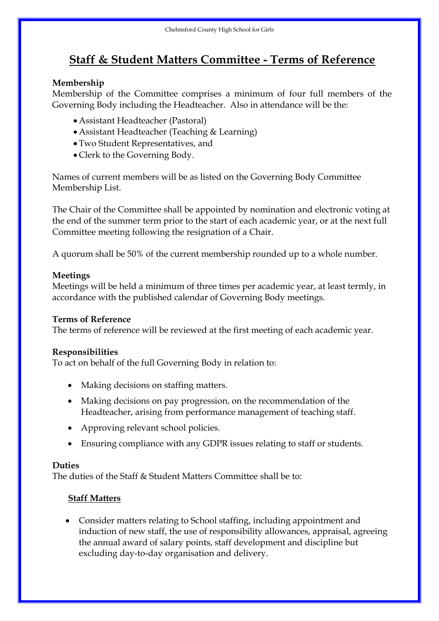# **Staff & Student Matters Committee - Terms of Reference**

## **Membership**

Membership of the Committee comprises a minimum of four full members of the Governing Body including the Headteacher. Also in attendance will be the:

- Assistant Headteacher (Pastoral)
- Assistant Headteacher (Teaching & Learning)
- Two Student Representatives, and
- Clerk to the Governing Body.

Names of current members will be as listed on the Governing Body Committee Membership List.

The Chair of the Committee shall be appointed by nomination and electronic voting at the end of the summer term prior to the start of each academic year, or at the next full Committee meeting following the resignation of a Chair.

A quorum shall be 50% of the current membership rounded up to a whole number.

## **Meetings**

Meetings will be held a minimum of three times per academic year, at least termly, in accordance with the published calendar of Governing Body meetings.

## **Terms of Reference**

The terms of reference will be reviewed at the first meeting of each academic year.

### **Responsibilities**

To act on behalf of the full Governing Body in relation to:

- Making decisions on staffing matters.
- Making decisions on pay progression, on the recommendation of the Headteacher, arising from performance management of teaching staff.
- Approving relevant school policies.
- Ensuring compliance with any GDPR issues relating to staff or students.

## **Duties**

The duties of the Staff & Student Matters Committee shall be to:

## **Staff Matters**

• Consider matters relating to School staffing, including appointment and induction of new staff, the use of responsibility allowances, appraisal, agreeing the annual award of salary points, staff development and discipline but excluding day-to-day organisation and delivery.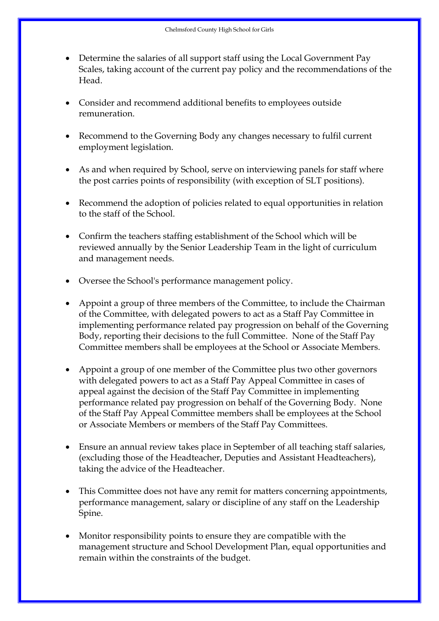- Determine the salaries of all support staff using the Local Government Pay Scales, taking account of the current pay policy and the recommendations of the Head.
- Consider and recommend additional benefits to employees outside remuneration.
- Recommend to the Governing Body any changes necessary to fulfil current employment legislation.
- As and when required by School, serve on interviewing panels for staff where the post carries points of responsibility (with exception of SLT positions).
- Recommend the adoption of policies related to equal opportunities in relation to the staff of the School.
- Confirm the teachers staffing establishment of the School which will be reviewed annually by the Senior Leadership Team in the light of curriculum and management needs.
- Oversee the School's performance management policy.
- Appoint a group of three members of the Committee, to include the Chairman of the Committee, with delegated powers to act as a Staff Pay Committee in implementing performance related pay progression on behalf of the Governing Body, reporting their decisions to the full Committee. None of the Staff Pay Committee members shall be employees at the School or Associate Members.
- Appoint a group of one member of the Committee plus two other governors with delegated powers to act as a Staff Pay Appeal Committee in cases of appeal against the decision of the Staff Pay Committee in implementing performance related pay progression on behalf of the Governing Body. None of the Staff Pay Appeal Committee members shall be employees at the School or Associate Members or members of the Staff Pay Committees.
- Ensure an annual review takes place in September of all teaching staff salaries, (excluding those of the Headteacher, Deputies and Assistant Headteachers), taking the advice of the Headteacher.
- This Committee does not have any remit for matters concerning appointments, performance management, salary or discipline of any staff on the Leadership Spine.
- Monitor responsibility points to ensure they are compatible with the management structure and School Development Plan, equal opportunities and remain within the constraints of the budget.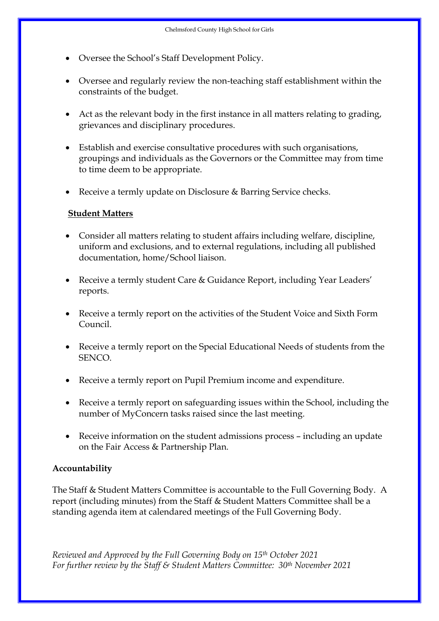- Oversee the School's Staff Development Policy.
- Oversee and regularly review the non-teaching staff establishment within the constraints of the budget.
- Act as the relevant body in the first instance in all matters relating to grading, grievances and disciplinary procedures.
- Establish and exercise consultative procedures with such organisations, groupings and individuals as the Governors or the Committee may from time to time deem to be appropriate.
- Receive a termly update on Disclosure & Barring Service checks.

## **Student Matters**

- Consider all matters relating to student affairs including welfare, discipline, uniform and exclusions, and to external regulations, including all published documentation, home/School liaison.
- Receive a termly student Care & Guidance Report, including Year Leaders' reports.
- Receive a termly report on the activities of the Student Voice and Sixth Form Council.
- Receive a termly report on the Special Educational Needs of students from the SENCO.
- Receive a termly report on Pupil Premium income and expenditure.
- Receive a termly report on safeguarding issues within the School, including the number of MyConcern tasks raised since the last meeting.
- Receive information on the student admissions process including an update on the Fair Access & Partnership Plan.

## **Accountability**

The Staff & Student Matters Committee is accountable to the Full Governing Body. A report (including minutes) from the Staff & Student Matters Committee shall be a standing agenda item at calendared meetings of the Full Governing Body.

*Reviewed and Approved by the Full Governing Body on 15th October 2021 For further review by the Staff & Student Matters Committee: 30th November 2021*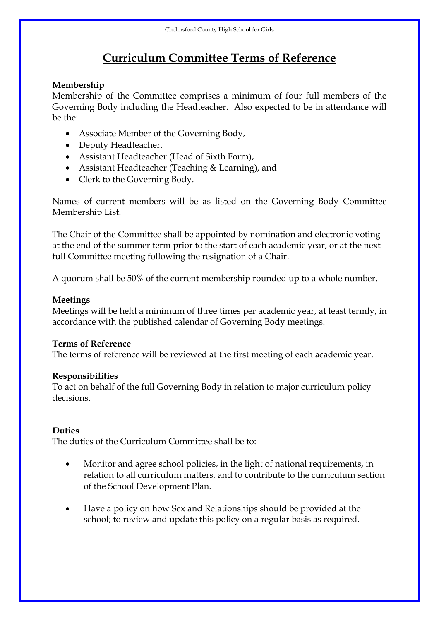# **Curriculum Committee Terms of Reference**

## **Membership**

Membership of the Committee comprises a minimum of four full members of the Governing Body including the Headteacher. Also expected to be in attendance will be the:

- Associate Member of the Governing Body,
- Deputy Headteacher,
- Assistant Headteacher (Head of Sixth Form),
- Assistant Headteacher (Teaching & Learning), and
- Clerk to the Governing Body.

Names of current members will be as listed on the Governing Body Committee Membership List.

The Chair of the Committee shall be appointed by nomination and electronic voting at the end of the summer term prior to the start of each academic year, or at the next full Committee meeting following the resignation of a Chair.

A quorum shall be 50% of the current membership rounded up to a whole number.

## **Meetings**

Meetings will be held a minimum of three times per academic year, at least termly, in accordance with the published calendar of Governing Body meetings.

### **Terms of Reference**

The terms of reference will be reviewed at the first meeting of each academic year.

### **Responsibilities**

To act on behalf of the full Governing Body in relation to major curriculum policy decisions.

### **Duties**

The duties of the Curriculum Committee shall be to:

- Monitor and agree school policies, in the light of national requirements, in relation to all curriculum matters, and to contribute to the curriculum section of the School Development Plan.
- Have a policy on how Sex and Relationships should be provided at the school; to review and update this policy on a regular basis as required.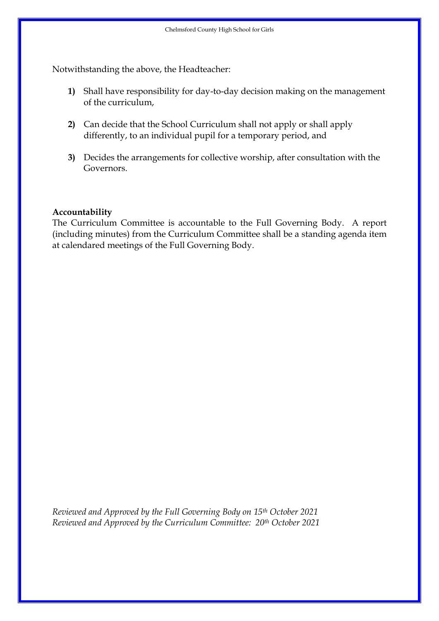Notwithstanding the above, the Headteacher:

- **1)** Shall have responsibility for day-to-day decision making on the management of the curriculum,
- **2)** Can decide that the School Curriculum shall not apply or shall apply differently, to an individual pupil for a temporary period, and
- **3)** Decides the arrangements for collective worship, after consultation with the Governors.

### **Accountability**

The Curriculum Committee is accountable to the Full Governing Body. A report (including minutes) from the Curriculum Committee shall be a standing agenda item at calendared meetings of the Full Governing Body.

*Reviewed and Approved by the Full Governing Body on 15th October 2021 Reviewed and Approved by the Curriculum Committee: 20th October 2021*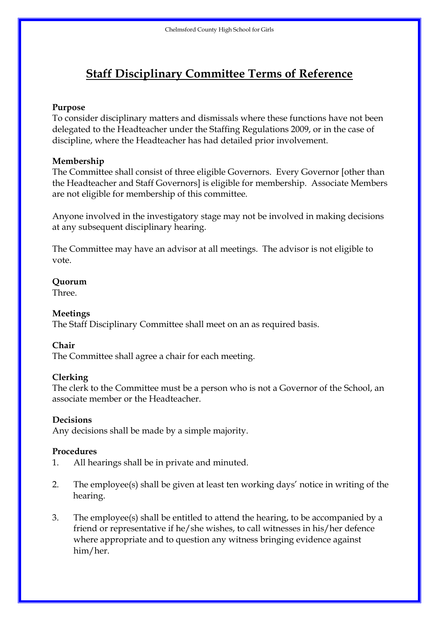# **Staff Disciplinary Committee Terms of Reference**

## **Purpose**

To consider disciplinary matters and dismissals where these functions have not been delegated to the Headteacher under the Staffing Regulations 2009, or in the case of discipline, where the Headteacher has had detailed prior involvement.

## **Membership**

The Committee shall consist of three eligible Governors. Every Governor [other than the Headteacher and Staff Governors] is eligible for membership. Associate Members are not eligible for membership of this committee.

Anyone involved in the investigatory stage may not be involved in making decisions at any subsequent disciplinary hearing.

The Committee may have an advisor at all meetings. The advisor is not eligible to vote.

## **Quorum**

Three.

## **Meetings**

The Staff Disciplinary Committee shall meet on an as required basis.

## **Chair**

The Committee shall agree a chair for each meeting.

## **Clerking**

The clerk to the Committee must be a person who is not a Governor of the School, an associate member or the Headteacher.

## **Decisions**

Any decisions shall be made by a simple majority.

## **Procedures**

- 1. All hearings shall be in private and minuted.
- 2. The employee(s) shall be given at least ten working days' notice in writing of the hearing.
- 3. The employee(s) shall be entitled to attend the hearing, to be accompanied by a friend or representative if he/she wishes, to call witnesses in his/her defence where appropriate and to question any witness bringing evidence against him/her.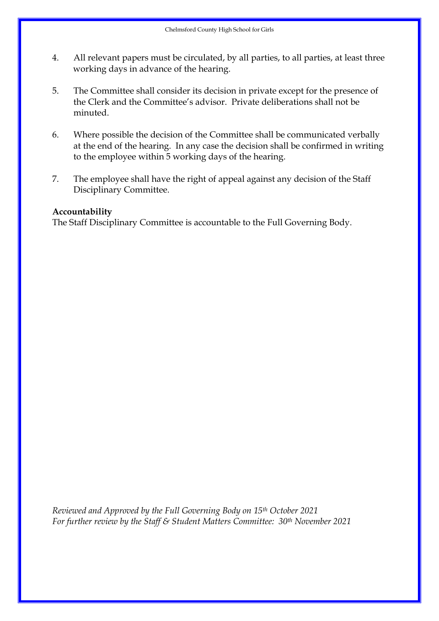- 4. All relevant papers must be circulated, by all parties, to all parties, at least three working days in advance of the hearing.
- 5. The Committee shall consider its decision in private except for the presence of the Clerk and the Committee's advisor. Private deliberations shall not be minuted.
- 6. Where possible the decision of the Committee shall be communicated verbally at the end of the hearing. In any case the decision shall be confirmed in writing to the employee within 5 working days of the hearing.
- 7. The employee shall have the right of appeal against any decision of the Staff Disciplinary Committee.

The Staff Disciplinary Committee is accountable to the Full Governing Body.

*Reviewed and Approved by the Full Governing Body on 15th October 2021 For further review by the Staff & Student Matters Committee: 30th November 2021*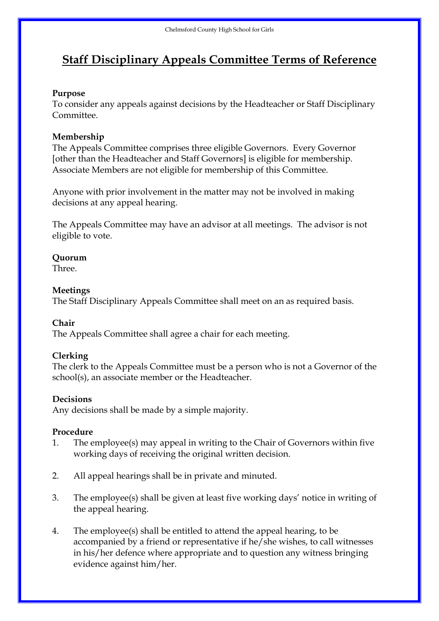# **Staff Disciplinary Appeals Committee Terms of Reference**

## **Purpose**

To consider any appeals against decisions by the Headteacher or Staff Disciplinary Committee.

## **Membership**

The Appeals Committee comprises three eligible Governors. Every Governor [other than the Headteacher and Staff Governors] is eligible for membership. Associate Members are not eligible for membership of this Committee.

Anyone with prior involvement in the matter may not be involved in making decisions at any appeal hearing.

The Appeals Committee may have an advisor at all meetings. The advisor is not eligible to vote.

## **Quorum**

Three.

## **Meetings**

The Staff Disciplinary Appeals Committee shall meet on an as required basis.

## **Chair**

The Appeals Committee shall agree a chair for each meeting.

## **Clerking**

The clerk to the Appeals Committee must be a person who is not a Governor of the school(s), an associate member or the Headteacher.

## **Decisions**

Any decisions shall be made by a simple majority.

## **Procedure**

- 1. The employee(s) may appeal in writing to the Chair of Governors within five working days of receiving the original written decision.
- 2. All appeal hearings shall be in private and minuted.
- 3. The employee(s) shall be given at least five working days' notice in writing of the appeal hearing.
- 4. The employee(s) shall be entitled to attend the appeal hearing, to be accompanied by a friend or representative if he/she wishes, to call witnesses in his/her defence where appropriate and to question any witness bringing evidence against him/her.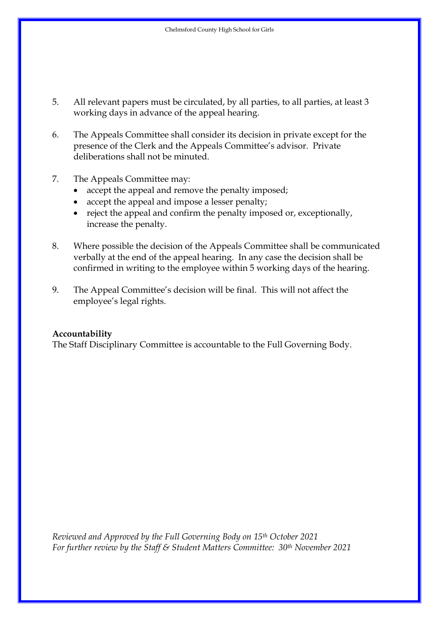- 5. All relevant papers must be circulated, by all parties, to all parties, at least 3 working days in advance of the appeal hearing.
- 6. The Appeals Committee shall consider its decision in private except for the presence of the Clerk and the Appeals Committee's advisor. Private deliberations shall not be minuted.
- 7. The Appeals Committee may:
	- accept the appeal and remove the penalty imposed;
	- accept the appeal and impose a lesser penalty;
	- reject the appeal and confirm the penalty imposed or, exceptionally, increase the penalty.
- 8. Where possible the decision of the Appeals Committee shall be communicated verbally at the end of the appeal hearing. In any case the decision shall be confirmed in writing to the employee within 5 working days of the hearing.
- 9. The Appeal Committee's decision will be final. This will not affect the employee's legal rights.

The Staff Disciplinary Committee is accountable to the Full Governing Body.

*Reviewed and Approved by the Full Governing Body on 15th October 2021 For further review by the Staff & Student Matters Committee: 30th November 2021*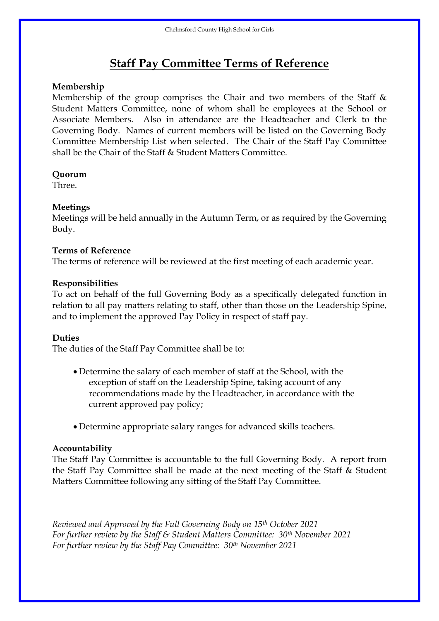# **Staff Pay Committee Terms of Reference**

## **Membership**

Membership of the group comprises the Chair and two members of the Staff  $\&$ Student Matters Committee, none of whom shall be employees at the School or Associate Members. Also in attendance are the Headteacher and Clerk to the Governing Body. Names of current members will be listed on the Governing Body Committee Membership List when selected. The Chair of the Staff Pay Committee shall be the Chair of the Staff & Student Matters Committee.

## **Quorum**

Three.

## **Meetings**

Meetings will be held annually in the Autumn Term, or as required by the Governing Body.

### **Terms of Reference**

The terms of reference will be reviewed at the first meeting of each academic year.

### **Responsibilities**

To act on behalf of the full Governing Body as a specifically delegated function in relation to all pay matters relating to staff, other than those on the Leadership Spine, and to implement the approved Pay Policy in respect of staff pay.

### **Duties**

The duties of the Staff Pay Committee shall be to:

- Determine the salary of each member of staff at the School, with the exception of staff on the Leadership Spine, taking account of any recommendations made by the Headteacher, in accordance with the current approved pay policy;
- Determine appropriate salary ranges for advanced skills teachers.

### **Accountability**

The Staff Pay Committee is accountable to the full Governing Body. A report from the Staff Pay Committee shall be made at the next meeting of the Staff & Student Matters Committee following any sitting of the Staff Pay Committee.

*Reviewed and Approved by the Full Governing Body on 15th October 2021 For further review by the Staff & Student Matters Committee: 30th November 2021 For further review by the Staff Pay Committee: 30th November 2021*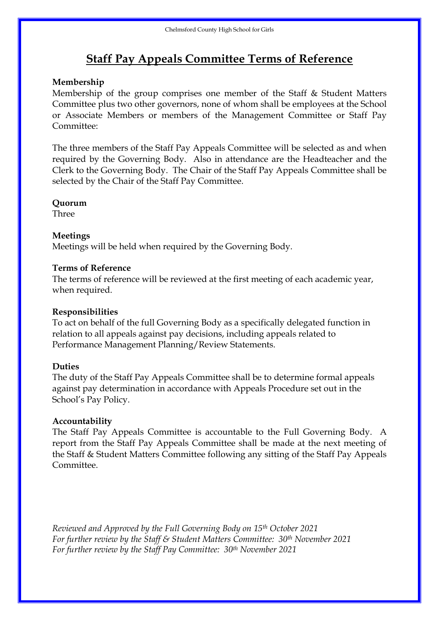## **Staff Pay Appeals Committee Terms of Reference**

### **Membership**

Membership of the group comprises one member of the Staff & Student Matters Committee plus two other governors, none of whom shall be employees at the School or Associate Members or members of the Management Committee or Staff Pay Committee:

The three members of the Staff Pay Appeals Committee will be selected as and when required by the Governing Body. Also in attendance are the Headteacher and the Clerk to the Governing Body. The Chair of the Staff Pay Appeals Committee shall be selected by the Chair of the Staff Pay Committee.

#### **Quorum**

Three

### **Meetings**

Meetings will be held when required by the Governing Body.

### **Terms of Reference**

The terms of reference will be reviewed at the first meeting of each academic year, when required.

### **Responsibilities**

To act on behalf of the full Governing Body as a specifically delegated function in relation to all appeals against pay decisions, including appeals related to Performance Management Planning/Review Statements.

### **Duties**

The duty of the Staff Pay Appeals Committee shall be to determine formal appeals against pay determination in accordance with Appeals Procedure set out in the School's Pay Policy.

### **Accountability**

The Staff Pay Appeals Committee is accountable to the Full Governing Body. A report from the Staff Pay Appeals Committee shall be made at the next meeting of the Staff & Student Matters Committee following any sitting of the Staff Pay Appeals Committee.

*Reviewed and Approved by the Full Governing Body on 15th October 2021 For further review by the Staff & Student Matters Committee: 30th November 2021 For further review by the Staff Pay Committee: 30th November 2021*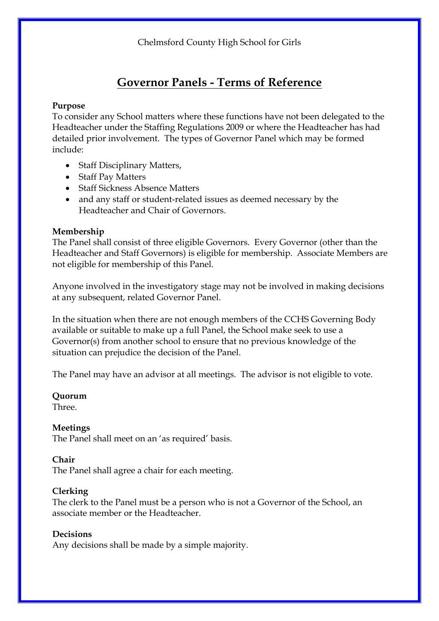## **Governor Panels - Terms of Reference**

## **Purpose**

To consider any School matters where these functions have not been delegated to the Headteacher under the Staffing Regulations 2009 or where the Headteacher has had detailed prior involvement. The types of Governor Panel which may be formed include:

- Staff Disciplinary Matters,
- Staff Pay Matters
- Staff Sickness Absence Matters
- and any staff or student-related issues as deemed necessary by the Headteacher and Chair of Governors.

## **Membership**

The Panel shall consist of three eligible Governors. Every Governor (other than the Headteacher and Staff Governors) is eligible for membership. Associate Members are not eligible for membership of this Panel.

Anyone involved in the investigatory stage may not be involved in making decisions at any subsequent, related Governor Panel.

In the situation when there are not enough members of the CCHS Governing Body available or suitable to make up a full Panel, the School make seek to use a Governor(s) from another school to ensure that no previous knowledge of the situation can prejudice the decision of the Panel.

The Panel may have an advisor at all meetings. The advisor is not eligible to vote.

### **Quorum**

Three.

## **Meetings**

The Panel shall meet on an 'as required' basis.

### **Chair**

The Panel shall agree a chair for each meeting.

### **Clerking**

The clerk to the Panel must be a person who is not a Governor of the School, an associate member or the Headteacher.

## **Decisions**

Any decisions shall be made by a simple majority.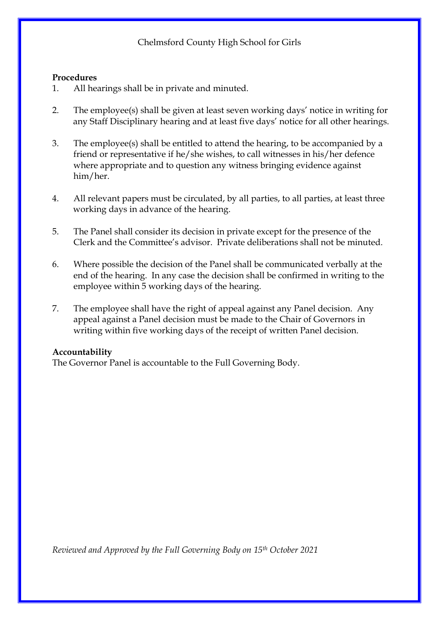#### **Procedures**

- 1. All hearings shall be in private and minuted.
- 2. The employee(s) shall be given at least seven working days' notice in writing for any Staff Disciplinary hearing and at least five days' notice for all other hearings.
- 3. The employee(s) shall be entitled to attend the hearing, to be accompanied by a friend or representative if he/she wishes, to call witnesses in his/her defence where appropriate and to question any witness bringing evidence against him/her.
- 4. All relevant papers must be circulated, by all parties, to all parties, at least three working days in advance of the hearing.
- 5. The Panel shall consider its decision in private except for the presence of the Clerk and the Committee's advisor. Private deliberations shall not be minuted.
- 6. Where possible the decision of the Panel shall be communicated verbally at the end of the hearing. In any case the decision shall be confirmed in writing to the employee within 5 working days of the hearing.
- 7. The employee shall have the right of appeal against any Panel decision. Any appeal against a Panel decision must be made to the Chair of Governors in writing within five working days of the receipt of written Panel decision.

### **Accountability**

The Governor Panel is accountable to the Full Governing Body.

*Reviewed and Approved by the Full Governing Body on 15th October 2021*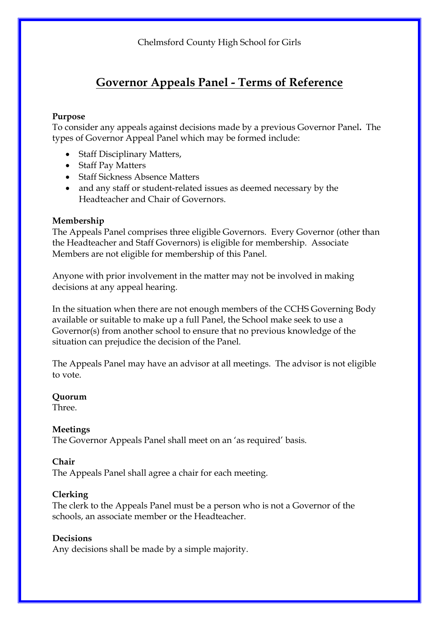## **Governor Appeals Panel - Terms of Reference**

## **Purpose**

To consider any appeals against decisions made by a previous Governor Panel**.** The types of Governor Appeal Panel which may be formed include:

- Staff Disciplinary Matters,
- Staff Pay Matters
- Staff Sickness Absence Matters
- and any staff or student-related issues as deemed necessary by the Headteacher and Chair of Governors.

## **Membership**

The Appeals Panel comprises three eligible Governors. Every Governor (other than the Headteacher and Staff Governors) is eligible for membership. Associate Members are not eligible for membership of this Panel.

Anyone with prior involvement in the matter may not be involved in making decisions at any appeal hearing.

In the situation when there are not enough members of the CCHS Governing Body available or suitable to make up a full Panel, the School make seek to use a Governor(s) from another school to ensure that no previous knowledge of the situation can prejudice the decision of the Panel.

The Appeals Panel may have an advisor at all meetings. The advisor is not eligible to vote.

### **Quorum**

Three.

## **Meetings**

The Governor Appeals Panel shall meet on an 'as required' basis.

### **Chair**

The Appeals Panel shall agree a chair for each meeting.

## **Clerking**

The clerk to the Appeals Panel must be a person who is not a Governor of the schools, an associate member or the Headteacher.

## **Decisions**

Any decisions shall be made by a simple majority.